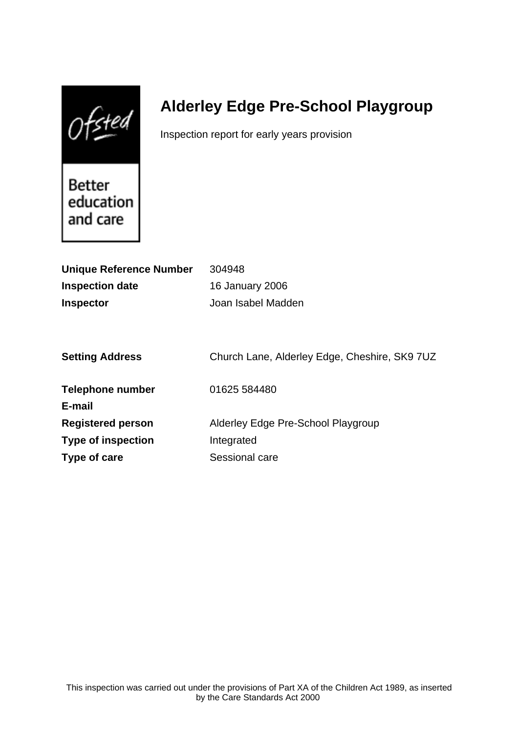$0$ fsted

# **Alderley Edge Pre-School Playgroup**

Inspection report for early years provision

Better education and care

| <b>Unique Reference Number</b> | 304948                                        |
|--------------------------------|-----------------------------------------------|
| <b>Inspection date</b>         | <b>16 January 2006</b>                        |
| <b>Inspector</b>               | Joan Isabel Madden                            |
|                                |                                               |
|                                |                                               |
| <b>Setting Address</b>         | Church Lane, Alderley Edge, Cheshire, SK9 7UZ |
|                                |                                               |
| Telephone number               | 01625 584480                                  |
| E-mail                         |                                               |
| <b>Registered person</b>       | Alderley Edge Pre-School Playgroup            |
| <b>Type of inspection</b>      | Integrated                                    |
| Type of care                   | Sessional care                                |
|                                |                                               |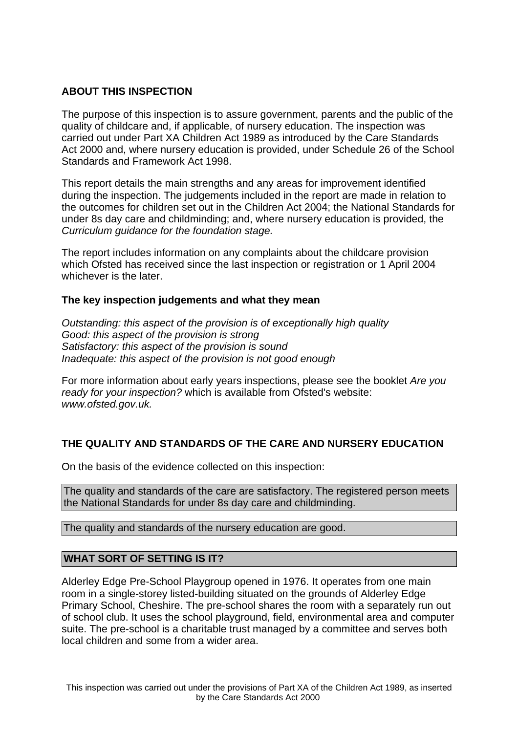### **ABOUT THIS INSPECTION**

The purpose of this inspection is to assure government, parents and the public of the quality of childcare and, if applicable, of nursery education. The inspection was carried out under Part XA Children Act 1989 as introduced by the Care Standards Act 2000 and, where nursery education is provided, under Schedule 26 of the School Standards and Framework Act 1998.

This report details the main strengths and any areas for improvement identified during the inspection. The judgements included in the report are made in relation to the outcomes for children set out in the Children Act 2004; the National Standards for under 8s day care and childminding; and, where nursery education is provided, the Curriculum guidance for the foundation stage.

The report includes information on any complaints about the childcare provision which Ofsted has received since the last inspection or registration or 1 April 2004 whichever is the later.

#### **The key inspection judgements and what they mean**

Outstanding: this aspect of the provision is of exceptionally high quality Good: this aspect of the provision is strong Satisfactory: this aspect of the provision is sound Inadequate: this aspect of the provision is not good enough

For more information about early years inspections, please see the booklet Are you ready for your inspection? which is available from Ofsted's website: www.ofsted.gov.uk.

## **THE QUALITY AND STANDARDS OF THE CARE AND NURSERY EDUCATION**

On the basis of the evidence collected on this inspection:

The quality and standards of the care are satisfactory. The registered person meets the National Standards for under 8s day care and childminding.

The quality and standards of the nursery education are good.

#### **WHAT SORT OF SETTING IS IT?**

Alderley Edge Pre-School Playgroup opened in 1976. It operates from one main room in a single-storey listed-building situated on the grounds of Alderley Edge Primary School, Cheshire. The pre-school shares the room with a separately run out of school club. It uses the school playground, field, environmental area and computer suite. The pre-school is a charitable trust managed by a committee and serves both local children and some from a wider area.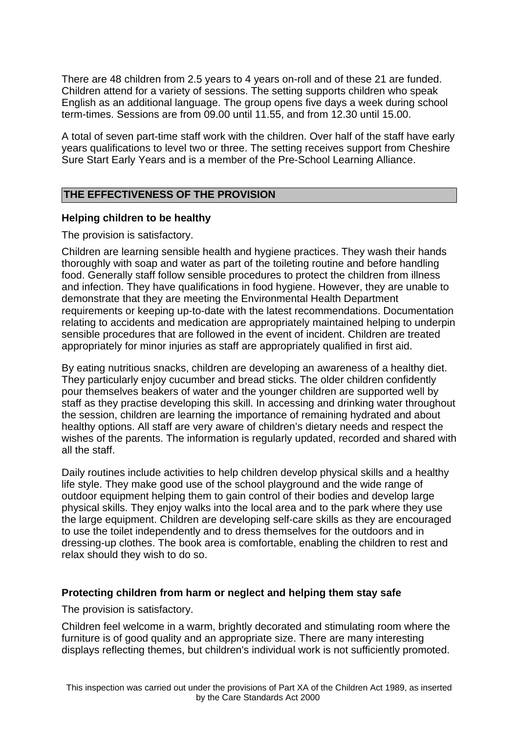There are 48 children from 2.5 years to 4 years on-roll and of these 21 are funded. Children attend for a variety of sessions. The setting supports children who speak English as an additional language. The group opens five days a week during school term-times. Sessions are from 09.00 until 11.55, and from 12.30 until 15.00.

A total of seven part-time staff work with the children. Over half of the staff have early years qualifications to level two or three. The setting receives support from Cheshire Sure Start Early Years and is a member of the Pre-School Learning Alliance.

## **THE EFFECTIVENESS OF THE PROVISION**

#### **Helping children to be healthy**

The provision is satisfactory.

Children are learning sensible health and hygiene practices. They wash their hands thoroughly with soap and water as part of the toileting routine and before handling food. Generally staff follow sensible procedures to protect the children from illness and infection. They have qualifications in food hygiene. However, they are unable to demonstrate that they are meeting the Environmental Health Department requirements or keeping up-to-date with the latest recommendations. Documentation relating to accidents and medication are appropriately maintained helping to underpin sensible procedures that are followed in the event of incident. Children are treated appropriately for minor injuries as staff are appropriately qualified in first aid.

By eating nutritious snacks, children are developing an awareness of a healthy diet. They particularly enjoy cucumber and bread sticks. The older children confidently pour themselves beakers of water and the younger children are supported well by staff as they practise developing this skill. In accessing and drinking water throughout the session, children are learning the importance of remaining hydrated and about healthy options. All staff are very aware of children's dietary needs and respect the wishes of the parents. The information is regularly updated, recorded and shared with all the staff.

Daily routines include activities to help children develop physical skills and a healthy life style. They make good use of the school playground and the wide range of outdoor equipment helping them to gain control of their bodies and develop large physical skills. They enjoy walks into the local area and to the park where they use the large equipment. Children are developing self-care skills as they are encouraged to use the toilet independently and to dress themselves for the outdoors and in dressing-up clothes. The book area is comfortable, enabling the children to rest and relax should they wish to do so.

#### **Protecting children from harm or neglect and helping them stay safe**

The provision is satisfactory.

Children feel welcome in a warm, brightly decorated and stimulating room where the furniture is of good quality and an appropriate size. There are many interesting displays reflecting themes, but children's individual work is not sufficiently promoted.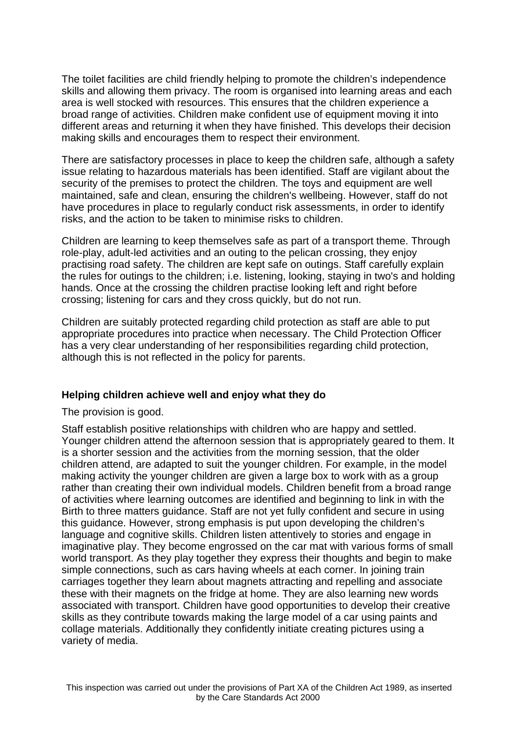The toilet facilities are child friendly helping to promote the children's independence skills and allowing them privacy. The room is organised into learning areas and each area is well stocked with resources. This ensures that the children experience a broad range of activities. Children make confident use of equipment moving it into different areas and returning it when they have finished. This develops their decision making skills and encourages them to respect their environment.

There are satisfactory processes in place to keep the children safe, although a safety issue relating to hazardous materials has been identified. Staff are vigilant about the security of the premises to protect the children. The toys and equipment are well maintained, safe and clean, ensuring the children's wellbeing. However, staff do not have procedures in place to regularly conduct risk assessments, in order to identify risks, and the action to be taken to minimise risks to children.

Children are learning to keep themselves safe as part of a transport theme. Through role-play, adult-led activities and an outing to the pelican crossing, they enjoy practising road safety. The children are kept safe on outings. Staff carefully explain the rules for outings to the children; i.e. listening, looking, staying in two's and holding hands. Once at the crossing the children practise looking left and right before crossing; listening for cars and they cross quickly, but do not run.

Children are suitably protected regarding child protection as staff are able to put appropriate procedures into practice when necessary. The Child Protection Officer has a very clear understanding of her responsibilities regarding child protection, although this is not reflected in the policy for parents.

#### **Helping children achieve well and enjoy what they do**

The provision is good.

Staff establish positive relationships with children who are happy and settled. Younger children attend the afternoon session that is appropriately geared to them. It is a shorter session and the activities from the morning session, that the older children attend, are adapted to suit the younger children. For example, in the model making activity the younger children are given a large box to work with as a group rather than creating their own individual models. Children benefit from a broad range of activities where learning outcomes are identified and beginning to link in with the Birth to three matters guidance. Staff are not yet fully confident and secure in using this guidance. However, strong emphasis is put upon developing the children's language and cognitive skills. Children listen attentively to stories and engage in imaginative play. They become engrossed on the car mat with various forms of small world transport. As they play together they express their thoughts and begin to make simple connections, such as cars having wheels at each corner. In joining train carriages together they learn about magnets attracting and repelling and associate these with their magnets on the fridge at home. They are also learning new words associated with transport. Children have good opportunities to develop their creative skills as they contribute towards making the large model of a car using paints and collage materials. Additionally they confidently initiate creating pictures using a variety of media.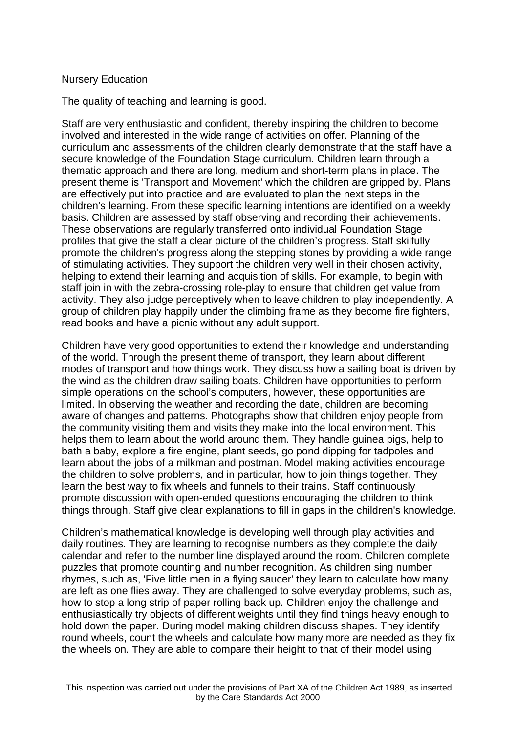#### Nursery Education

The quality of teaching and learning is good.

Staff are very enthusiastic and confident, thereby inspiring the children to become involved and interested in the wide range of activities on offer. Planning of the curriculum and assessments of the children clearly demonstrate that the staff have a secure knowledge of the Foundation Stage curriculum. Children learn through a thematic approach and there are long, medium and short-term plans in place. The present theme is 'Transport and Movement' which the children are gripped by. Plans are effectively put into practice and are evaluated to plan the next steps in the children's learning. From these specific learning intentions are identified on a weekly basis. Children are assessed by staff observing and recording their achievements. These observations are regularly transferred onto individual Foundation Stage profiles that give the staff a clear picture of the children's progress. Staff skilfully promote the children's progress along the stepping stones by providing a wide range of stimulating activities. They support the children very well in their chosen activity, helping to extend their learning and acquisition of skills. For example, to begin with staff join in with the zebra-crossing role-play to ensure that children get value from activity. They also judge perceptively when to leave children to play independently. A group of children play happily under the climbing frame as they become fire fighters, read books and have a picnic without any adult support.

Children have very good opportunities to extend their knowledge and understanding of the world. Through the present theme of transport, they learn about different modes of transport and how things work. They discuss how a sailing boat is driven by the wind as the children draw sailing boats. Children have opportunities to perform simple operations on the school's computers, however, these opportunities are limited. In observing the weather and recording the date, children are becoming aware of changes and patterns. Photographs show that children enjoy people from the community visiting them and visits they make into the local environment. This helps them to learn about the world around them. They handle guinea pigs, help to bath a baby, explore a fire engine, plant seeds, go pond dipping for tadpoles and learn about the jobs of a milkman and postman. Model making activities encourage the children to solve problems, and in particular, how to join things together. They learn the best way to fix wheels and funnels to their trains. Staff continuously promote discussion with open-ended questions encouraging the children to think things through. Staff give clear explanations to fill in gaps in the children's knowledge.

Children's mathematical knowledge is developing well through play activities and daily routines. They are learning to recognise numbers as they complete the daily calendar and refer to the number line displayed around the room. Children complete puzzles that promote counting and number recognition. As children sing number rhymes, such as, 'Five little men in a flying saucer' they learn to calculate how many are left as one flies away. They are challenged to solve everyday problems, such as, how to stop a long strip of paper rolling back up. Children enjoy the challenge and enthusiastically try objects of different weights until they find things heavy enough to hold down the paper. During model making children discuss shapes. They identify round wheels, count the wheels and calculate how many more are needed as they fix the wheels on. They are able to compare their height to that of their model using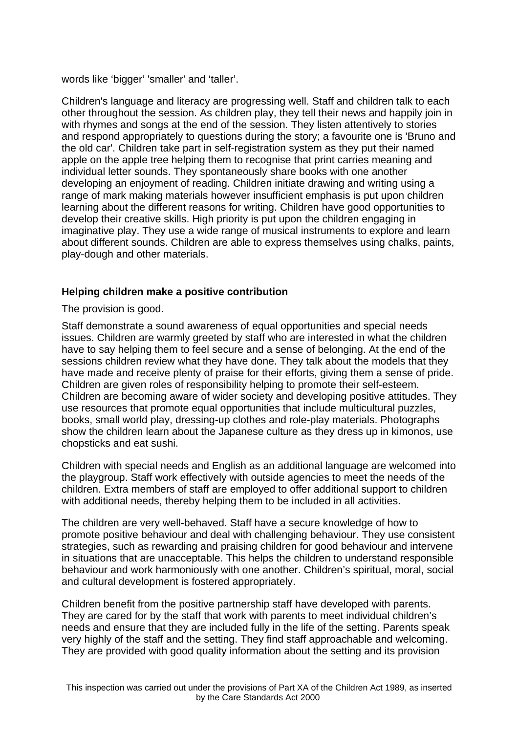words like 'bigger' 'smaller' and 'taller'.

Children's language and literacy are progressing well. Staff and children talk to each other throughout the session. As children play, they tell their news and happily join in with rhymes and songs at the end of the session. They listen attentively to stories and respond appropriately to questions during the story; a favourite one is 'Bruno and the old car'. Children take part in self-registration system as they put their named apple on the apple tree helping them to recognise that print carries meaning and individual letter sounds. They spontaneously share books with one another developing an enjoyment of reading. Children initiate drawing and writing using a range of mark making materials however insufficient emphasis is put upon children learning about the different reasons for writing. Children have good opportunities to develop their creative skills. High priority is put upon the children engaging in imaginative play. They use a wide range of musical instruments to explore and learn about different sounds. Children are able to express themselves using chalks, paints, play-dough and other materials.

#### **Helping children make a positive contribution**

The provision is good.

Staff demonstrate a sound awareness of equal opportunities and special needs issues. Children are warmly greeted by staff who are interested in what the children have to say helping them to feel secure and a sense of belonging. At the end of the sessions children review what they have done. They talk about the models that they have made and receive plenty of praise for their efforts, giving them a sense of pride. Children are given roles of responsibility helping to promote their self-esteem. Children are becoming aware of wider society and developing positive attitudes. They use resources that promote equal opportunities that include multicultural puzzles, books, small world play, dressing-up clothes and role-play materials. Photographs show the children learn about the Japanese culture as they dress up in kimonos, use chopsticks and eat sushi.

Children with special needs and English as an additional language are welcomed into the playgroup. Staff work effectively with outside agencies to meet the needs of the children. Extra members of staff are employed to offer additional support to children with additional needs, thereby helping them to be included in all activities.

The children are very well-behaved. Staff have a secure knowledge of how to promote positive behaviour and deal with challenging behaviour. They use consistent strategies, such as rewarding and praising children for good behaviour and intervene in situations that are unacceptable. This helps the children to understand responsible behaviour and work harmoniously with one another. Children's spiritual, moral, social and cultural development is fostered appropriately.

Children benefit from the positive partnership staff have developed with parents. They are cared for by the staff that work with parents to meet individual children's needs and ensure that they are included fully in the life of the setting. Parents speak very highly of the staff and the setting. They find staff approachable and welcoming. They are provided with good quality information about the setting and its provision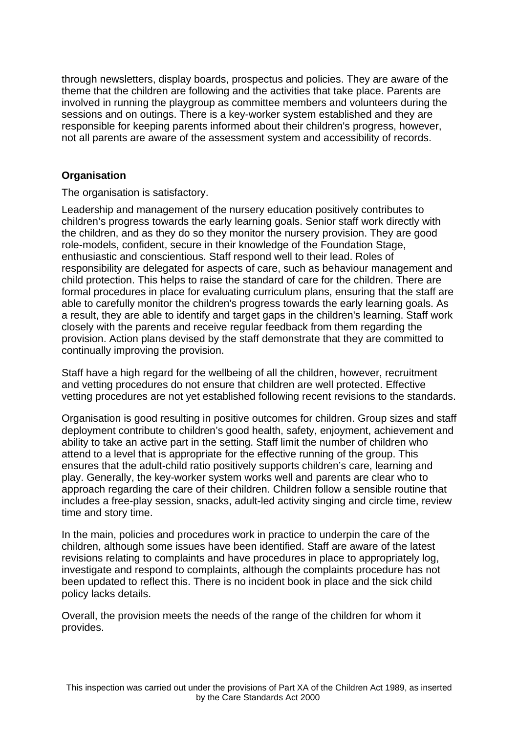through newsletters, display boards, prospectus and policies. They are aware of the theme that the children are following and the activities that take place. Parents are involved in running the playgroup as committee members and volunteers during the sessions and on outings. There is a key-worker system established and they are responsible for keeping parents informed about their children's progress, however, not all parents are aware of the assessment system and accessibility of records.

## **Organisation**

The organisation is satisfactory.

Leadership and management of the nursery education positively contributes to children's progress towards the early learning goals. Senior staff work directly with the children, and as they do so they monitor the nursery provision. They are good role-models, confident, secure in their knowledge of the Foundation Stage, enthusiastic and conscientious. Staff respond well to their lead. Roles of responsibility are delegated for aspects of care, such as behaviour management and child protection. This helps to raise the standard of care for the children. There are formal procedures in place for evaluating curriculum plans, ensuring that the staff are able to carefully monitor the children's progress towards the early learning goals. As a result, they are able to identify and target gaps in the children's learning. Staff work closely with the parents and receive regular feedback from them regarding the provision. Action plans devised by the staff demonstrate that they are committed to continually improving the provision.

Staff have a high regard for the wellbeing of all the children, however, recruitment and vetting procedures do not ensure that children are well protected. Effective vetting procedures are not yet established following recent revisions to the standards.

Organisation is good resulting in positive outcomes for children. Group sizes and staff deployment contribute to children's good health, safety, enjoyment, achievement and ability to take an active part in the setting. Staff limit the number of children who attend to a level that is appropriate for the effective running of the group. This ensures that the adult-child ratio positively supports children's care, learning and play. Generally, the key-worker system works well and parents are clear who to approach regarding the care of their children. Children follow a sensible routine that includes a free-play session, snacks, adult-led activity singing and circle time, review time and story time.

In the main, policies and procedures work in practice to underpin the care of the children, although some issues have been identified. Staff are aware of the latest revisions relating to complaints and have procedures in place to appropriately log, investigate and respond to complaints, although the complaints procedure has not been updated to reflect this. There is no incident book in place and the sick child policy lacks details.

Overall, the provision meets the needs of the range of the children for whom it provides.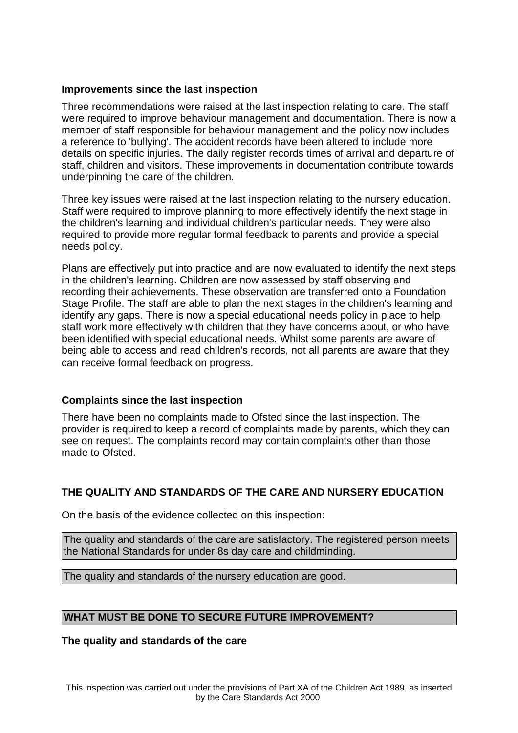#### **Improvements since the last inspection**

Three recommendations were raised at the last inspection relating to care. The staff were required to improve behaviour management and documentation. There is now a member of staff responsible for behaviour management and the policy now includes a reference to 'bullying'. The accident records have been altered to include more details on specific injuries. The daily register records times of arrival and departure of staff, children and visitors. These improvements in documentation contribute towards underpinning the care of the children.

Three key issues were raised at the last inspection relating to the nursery education. Staff were required to improve planning to more effectively identify the next stage in the children's learning and individual children's particular needs. They were also required to provide more regular formal feedback to parents and provide a special needs policy.

Plans are effectively put into practice and are now evaluated to identify the next steps in the children's learning. Children are now assessed by staff observing and recording their achievements. These observation are transferred onto a Foundation Stage Profile. The staff are able to plan the next stages in the children's learning and identify any gaps. There is now a special educational needs policy in place to help staff work more effectively with children that they have concerns about, or who have been identified with special educational needs. Whilst some parents are aware of being able to access and read children's records, not all parents are aware that they can receive formal feedback on progress.

#### **Complaints since the last inspection**

There have been no complaints made to Ofsted since the last inspection. The provider is required to keep a record of complaints made by parents, which they can see on request. The complaints record may contain complaints other than those made to Ofsted.

## **THE QUALITY AND STANDARDS OF THE CARE AND NURSERY EDUCATION**

On the basis of the evidence collected on this inspection:

The quality and standards of the care are satisfactory. The registered person meets the National Standards for under 8s day care and childminding.

The quality and standards of the nursery education are good.

#### **WHAT MUST BE DONE TO SECURE FUTURE IMPROVEMENT?**

**The quality and standards of the care**